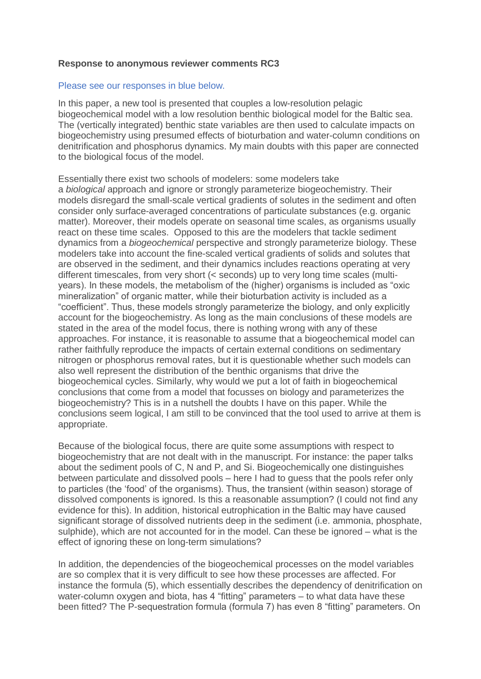## **Response to anonymous reviewer comments RC3**

## Please see our responses in blue below.

In this paper, a new tool is presented that couples a low-resolution pelagic biogeochemical model with a low resolution benthic biological model for the Baltic sea. The (vertically integrated) benthic state variables are then used to calculate impacts on biogeochemistry using presumed effects of bioturbation and water-column conditions on denitrification and phosphorus dynamics. My main doubts with this paper are connected to the biological focus of the model.

Essentially there exist two schools of modelers: some modelers take a *biological* approach and ignore or strongly parameterize biogeochemistry. Their models disregard the small-scale vertical gradients of solutes in the sediment and often consider only surface-averaged concentrations of particulate substances (e.g. organic matter). Moreover, their models operate on seasonal time scales, as organisms usually react on these time scales. Opposed to this are the modelers that tackle sediment dynamics from a *biogeochemical* perspective and strongly parameterize biology. These modelers take into account the fine-scaled vertical gradients of solids and solutes that are observed in the sediment, and their dynamics includes reactions operating at very different timescales, from very short (< seconds) up to very long time scales (multiyears). In these models, the metabolism of the (higher) organisms is included as "oxic mineralization" of organic matter, while their bioturbation activity is included as a "coefficient". Thus, these models strongly parameterize the biology, and only explicitly account for the biogeochemistry. As long as the main conclusions of these models are stated in the area of the model focus, there is nothing wrong with any of these approaches. For instance, it is reasonable to assume that a biogeochemical model can rather faithfully reproduce the impacts of certain external conditions on sedimentary nitrogen or phosphorus removal rates, but it is questionable whether such models can also well represent the distribution of the benthic organisms that drive the biogeochemical cycles. Similarly, why would we put a lot of faith in biogeochemical conclusions that come from a model that focusses on biology and parameterizes the biogeochemistry? This is in a nutshell the doubts I have on this paper. While the conclusions seem logical, I am still to be convinced that the tool used to arrive at them is appropriate.

Because of the biological focus, there are quite some assumptions with respect to biogeochemistry that are not dealt with in the manuscript. For instance: the paper talks about the sediment pools of C, N and P, and Si. Biogeochemically one distinguishes between particulate and dissolved pools – here I had to guess that the pools refer only to particles (the 'food' of the organisms). Thus, the transient (within season) storage of dissolved components is ignored. Is this a reasonable assumption? (I could not find any evidence for this). In addition, historical eutrophication in the Baltic may have caused significant storage of dissolved nutrients deep in the sediment (i.e. ammonia, phosphate, sulphide), which are not accounted for in the model. Can these be ignored – what is the effect of ignoring these on long-term simulations?

In addition, the dependencies of the biogeochemical processes on the model variables are so complex that it is very difficult to see how these processes are affected. For instance the formula (5), which essentially describes the dependency of denitrification on water-column oxygen and biota, has 4 "fitting" parameters – to what data have these been fitted? The P-sequestration formula (formula 7) has even 8 "fitting" parameters. On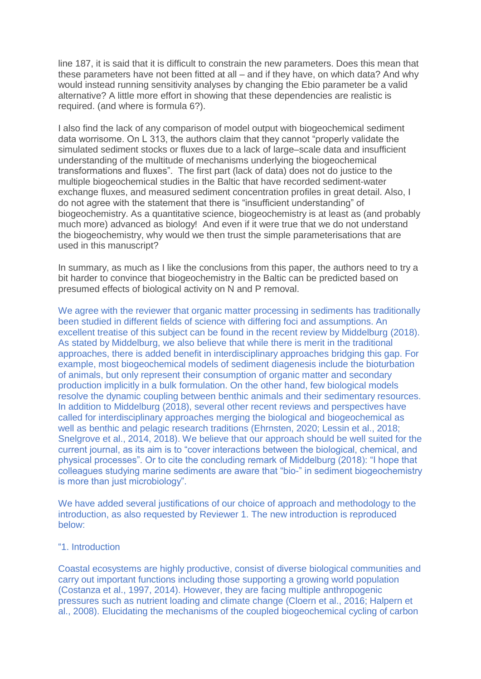line 187, it is said that it is difficult to constrain the new parameters. Does this mean that these parameters have not been fitted at all – and if they have, on which data? And why would instead running sensitivity analyses by changing the Ebio parameter be a valid alternative? A little more effort in showing that these dependencies are realistic is required. (and where is formula 6?).

I also find the lack of any comparison of model output with biogeochemical sediment data worrisome. On L 313, the authors claim that they cannot "properly validate the simulated sediment stocks or fluxes due to a lack of large–scale data and insufficient understanding of the multitude of mechanisms underlying the biogeochemical transformations and fluxes". The first part (lack of data) does not do justice to the multiple biogeochemical studies in the Baltic that have recorded sediment-water exchange fluxes, and measured sediment concentration profiles in great detail. Also, I do not agree with the statement that there is "insufficient understanding" of biogeochemistry. As a quantitative science, biogeochemistry is at least as (and probably much more) advanced as biology! And even if it were true that we do not understand the biogeochemistry, why would we then trust the simple parameterisations that are used in this manuscript?

In summary, as much as I like the conclusions from this paper, the authors need to try a bit harder to convince that biogeochemistry in the Baltic can be predicted based on presumed effects of biological activity on N and P removal.

We agree with the reviewer that organic matter processing in sediments has traditionally been studied in different fields of science with differing foci and assumptions. An excellent treatise of this subject can be found in the recent review by Middelburg (2018). As stated by Middelburg, we also believe that while there is merit in the traditional approaches, there is added benefit in interdisciplinary approaches bridging this gap. For example, most biogeochemical models of sediment diagenesis include the bioturbation of animals, but only represent their consumption of organic matter and secondary production implicitly in a bulk formulation. On the other hand, few biological models resolve the dynamic coupling between benthic animals and their sedimentary resources. In addition to Middelburg (2018), several other recent reviews and perspectives have called for interdisciplinary approaches merging the biological and biogeochemical as well as benthic and pelagic research traditions (Ehrnsten, 2020; Lessin et al., 2018; Snelgrove et al., 2014, 2018). We believe that our approach should be well suited for the current journal, as its aim is to "cover interactions between the biological, chemical, and physical processes". Or to cite the concluding remark of Middelburg (2018): "I hope that colleagues studying marine sediments are aware that "bio-" in sediment biogeochemistry is more than just microbiology".

We have added several justifications of our choice of approach and methodology to the introduction, as also requested by Reviewer 1. The new introduction is reproduced below:

## "1. Introduction

Coastal ecosystems are highly productive, consist of diverse biological communities and carry out important functions including those supporting a growing world population (Costanza et al., 1997, 2014). However, they are facing multiple anthropogenic pressures such as nutrient loading and climate change (Cloern et al., 2016; Halpern et al., 2008). Elucidating the mechanisms of the coupled biogeochemical cycling of carbon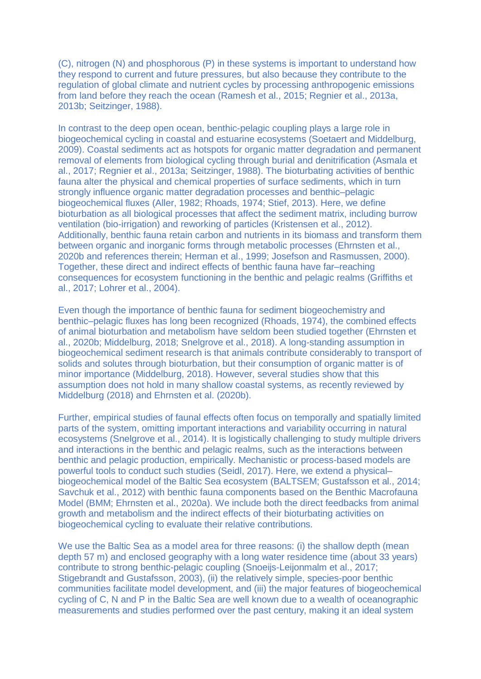(C), nitrogen (N) and phosphorous (P) in these systems is important to understand how they respond to current and future pressures, but also because they contribute to the regulation of global climate and nutrient cycles by processing anthropogenic emissions from land before they reach the ocean (Ramesh et al., 2015; Regnier et al., 2013a, 2013b; Seitzinger, 1988).

In contrast to the deep open ocean, benthic-pelagic coupling plays a large role in biogeochemical cycling in coastal and estuarine ecosystems (Soetaert and Middelburg, 2009). Coastal sediments act as hotspots for organic matter degradation and permanent removal of elements from biological cycling through burial and denitrification (Asmala et al., 2017; Regnier et al., 2013a; Seitzinger, 1988). The bioturbating activities of benthic fauna alter the physical and chemical properties of surface sediments, which in turn strongly influence organic matter degradation processes and benthic–pelagic biogeochemical fluxes (Aller, 1982; Rhoads, 1974; Stief, 2013). Here, we define bioturbation as all biological processes that affect the sediment matrix, including burrow ventilation (bio-irrigation) and reworking of particles (Kristensen et al., 2012). Additionally, benthic fauna retain carbon and nutrients in its biomass and transform them between organic and inorganic forms through metabolic processes (Ehrnsten et al., 2020b and references therein; Herman et al., 1999; Josefson and Rasmussen, 2000). Together, these direct and indirect effects of benthic fauna have far–reaching consequences for ecosystem functioning in the benthic and pelagic realms (Griffiths et al., 2017; Lohrer et al., 2004).

Even though the importance of benthic fauna for sediment biogeochemistry and benthic–pelagic fluxes has long been recognized (Rhoads, 1974), the combined effects of animal bioturbation and metabolism have seldom been studied together (Ehrnsten et al., 2020b; Middelburg, 2018; Snelgrove et al., 2018). A long-standing assumption in biogeochemical sediment research is that animals contribute considerably to transport of solids and solutes through bioturbation, but their consumption of organic matter is of minor importance (Middelburg, 2018). However, several studies show that this assumption does not hold in many shallow coastal systems, as recently reviewed by Middelburg (2018) and Ehrnsten et al. (2020b).

Further, empirical studies of faunal effects often focus on temporally and spatially limited parts of the system, omitting important interactions and variability occurring in natural ecosystems (Snelgrove et al., 2014). It is logistically challenging to study multiple drivers and interactions in the benthic and pelagic realms, such as the interactions between benthic and pelagic production, empirically. Mechanistic or process-based models are powerful tools to conduct such studies (Seidl, 2017). Here, we extend a physical– biogeochemical model of the Baltic Sea ecosystem (BALTSEM; Gustafsson et al., 2014; Savchuk et al., 2012) with benthic fauna components based on the Benthic Macrofauna Model (BMM; Ehrnsten et al., 2020a). We include both the direct feedbacks from animal growth and metabolism and the indirect effects of their bioturbating activities on biogeochemical cycling to evaluate their relative contributions.

We use the Baltic Sea as a model area for three reasons: (i) the shallow depth (mean depth 57 m) and enclosed geography with a long water residence time (about 33 years) contribute to strong benthic-pelagic coupling (Snoeijs-Leijonmalm et al., 2017; Stigebrandt and Gustafsson, 2003), (ii) the relatively simple, species-poor benthic communities facilitate model development, and (iii) the major features of biogeochemical cycling of C, N and P in the Baltic Sea are well known due to a wealth of oceanographic measurements and studies performed over the past century, making it an ideal system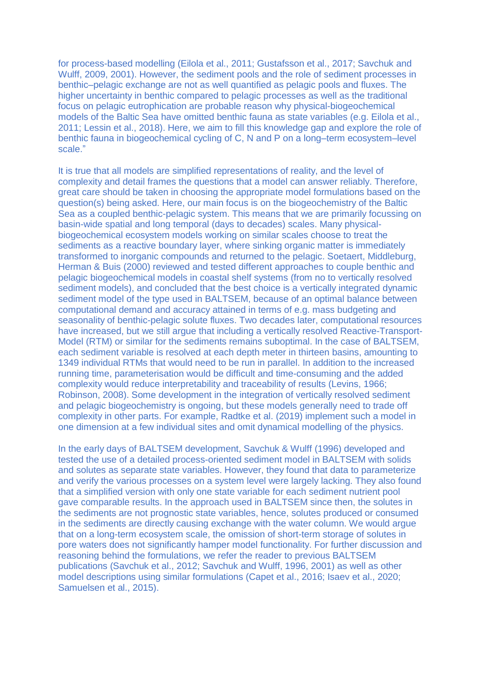for process-based modelling (Eilola et al., 2011; Gustafsson et al., 2017; Savchuk and Wulff, 2009, 2001). However, the sediment pools and the role of sediment processes in benthic–pelagic exchange are not as well quantified as pelagic pools and fluxes. The higher uncertainty in benthic compared to pelagic processes as well as the traditional focus on pelagic eutrophication are probable reason why physical-biogeochemical models of the Baltic Sea have omitted benthic fauna as state variables (e.g. Eilola et al., 2011; Lessin et al., 2018). Here, we aim to fill this knowledge gap and explore the role of benthic fauna in biogeochemical cycling of C, N and P on a long–term ecosystem–level scale."

It is true that all models are simplified representations of reality, and the level of complexity and detail frames the questions that a model can answer reliably. Therefore, great care should be taken in choosing the appropriate model formulations based on the question(s) being asked. Here, our main focus is on the biogeochemistry of the Baltic Sea as a coupled benthic-pelagic system. This means that we are primarily focussing on basin-wide spatial and long temporal (days to decades) scales. Many physicalbiogeochemical ecosystem models working on similar scales choose to treat the sediments as a reactive boundary layer, where sinking organic matter is immediately transformed to inorganic compounds and returned to the pelagic. Soetaert, Middleburg, Herman & Buis (2000) reviewed and tested different approaches to couple benthic and pelagic biogeochemical models in coastal shelf systems (from no to vertically resolved sediment models), and concluded that the best choice is a vertically integrated dynamic sediment model of the type used in BALTSEM, because of an optimal balance between computational demand and accuracy attained in terms of e.g. mass budgeting and seasonality of benthic-pelagic solute fluxes. Two decades later, computational resources have increased, but we still argue that including a vertically resolved Reactive-Transport-Model (RTM) or similar for the sediments remains suboptimal. In the case of BALTSEM, each sediment variable is resolved at each depth meter in thirteen basins, amounting to 1349 individual RTMs that would need to be run in parallel. In addition to the increased running time, parameterisation would be difficult and time-consuming and the added complexity would reduce interpretability and traceability of results (Levins, 1966; Robinson, 2008). Some development in the integration of vertically resolved sediment and pelagic biogeochemistry is ongoing, but these models generally need to trade off complexity in other parts. For example, Radtke et al. (2019) implement such a model in one dimension at a few individual sites and omit dynamical modelling of the physics.

In the early days of BALTSEM development, Savchuk & Wulff (1996) developed and tested the use of a detailed process-oriented sediment model in BALTSEM with solids and solutes as separate state variables. However, they found that data to parameterize and verify the various processes on a system level were largely lacking. They also found that a simplified version with only one state variable for each sediment nutrient pool gave comparable results. In the approach used in BALTSEM since then, the solutes in the sediments are not prognostic state variables, hence, solutes produced or consumed in the sediments are directly causing exchange with the water column. We would argue that on a long-term ecosystem scale, the omission of short-term storage of solutes in pore waters does not significantly hamper model functionality. For further discussion and reasoning behind the formulations, we refer the reader to previous BALTSEM publications (Savchuk et al., 2012; Savchuk and Wulff, 1996, 2001) as well as other model descriptions using similar formulations (Capet et al., 2016; Isaev et al., 2020; Samuelsen et al., 2015).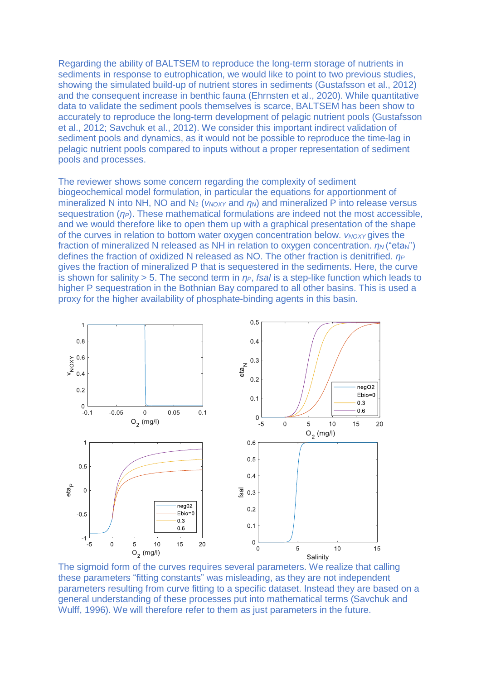Regarding the ability of BALTSEM to reproduce the long-term storage of nutrients in sediments in response to eutrophication, we would like to point to two previous studies, showing the simulated build-up of nutrient stores in sediments (Gustafsson et al., 2012) and the consequent increase in benthic fauna (Ehrnsten et al., 2020). While quantitative data to validate the sediment pools themselves is scarce, BALTSEM has been show to accurately to reproduce the long-term development of pelagic nutrient pools (Gustafsson et al., 2012; Savchuk et al., 2012). We consider this important indirect validation of sediment pools and dynamics, as it would not be possible to reproduce the time-lag in pelagic nutrient pools compared to inputs without a proper representation of sediment pools and processes.

The reviewer shows some concern regarding the complexity of sediment biogeochemical model formulation, in particular the equations for apportionment of mineralized N into NH, NO and N<sub>2</sub> (*ν*<sub>*NOXY*</sub> and *η<sub>N</sub>*) and mineralized P into release versus sequestration (*ηP*). These mathematical formulations are indeed not the most accessible, and we would therefore like to open them up with a graphical presentation of the shape of the curves in relation to bottom water oxygen concentration below. *ν*<sub>*NOXY</sub>* gives the</sub> fraction of mineralized N released as NH in relation to oxygen concentration.  $η<sub>N</sub>$  ("eta<sub>N</sub>") defines the fraction of oxidized N released as NO. The other fraction is denitrified. *η<sup>P</sup>* gives the fraction of mineralized P that is sequestered in the sediments. Here, the curve is shown for salinity > 5. The second term in *ηP*, *fsal* is a step-like function which leads to higher P sequestration in the Bothnian Bay compared to all other basins. This is used a proxy for the higher availability of phosphate-binding agents in this basin.



The sigmoid form of the curves requires several parameters. We realize that calling these parameters "fitting constants" was misleading, as they are not independent parameters resulting from curve fitting to a specific dataset. Instead they are based on a general understanding of these processes put into mathematical terms (Savchuk and Wulff, 1996). We will therefore refer to them as just parameters in the future.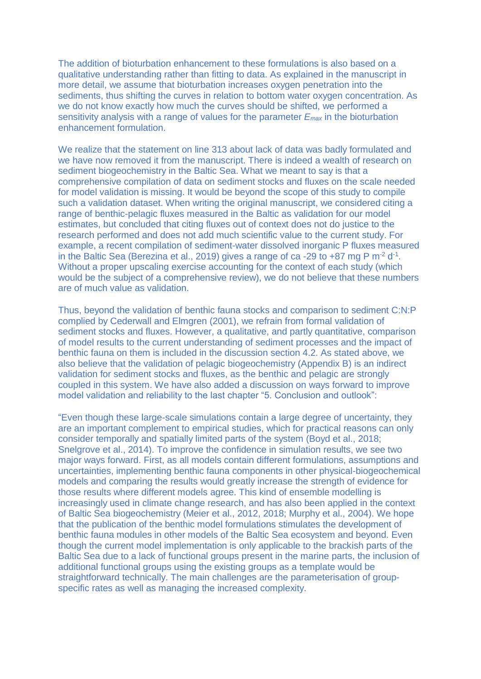The addition of bioturbation enhancement to these formulations is also based on a qualitative understanding rather than fitting to data. As explained in the manuscript in more detail, we assume that bioturbation increases oxygen penetration into the sediments, thus shifting the curves in relation to bottom water oxygen concentration. As we do not know exactly how much the curves should be shifted, we performed a sensitivity analysis with a range of values for the parameter *Emax* in the bioturbation enhancement formulation.

We realize that the statement on line 313 about lack of data was badly formulated and we have now removed it from the manuscript. There is indeed a wealth of research on sediment biogeochemistry in the Baltic Sea. What we meant to say is that a comprehensive compilation of data on sediment stocks and fluxes on the scale needed for model validation is missing. It would be beyond the scope of this study to compile such a validation dataset. When writing the original manuscript, we considered citing a range of benthic-pelagic fluxes measured in the Baltic as validation for our model estimates, but concluded that citing fluxes out of context does not do justice to the research performed and does not add much scientific value to the current study. For example, a recent compilation of sediment-water dissolved inorganic P fluxes measured in the Baltic Sea (Berezina et al., 2019) gives a range of ca -29 to +87 mg P  $m<sup>-2</sup> d<sup>-1</sup>$ . Without a proper upscaling exercise accounting for the context of each study (which would be the subject of a comprehensive review), we do not believe that these numbers are of much value as validation.

Thus, beyond the validation of benthic fauna stocks and comparison to sediment C:N:P complied by Cederwall and Elmgren (2001), we refrain from formal validation of sediment stocks and fluxes. However, a qualitative, and partly quantitative, comparison of model results to the current understanding of sediment processes and the impact of benthic fauna on them is included in the discussion section 4.2. As stated above, we also believe that the validation of pelagic biogeochemistry (Appendix B) is an indirect validation for sediment stocks and fluxes, as the benthic and pelagic are strongly coupled in this system. We have also added a discussion on ways forward to improve model validation and reliability to the last chapter "5. Conclusion and outlook":

"Even though these large-scale simulations contain a large degree of uncertainty, they are an important complement to empirical studies, which for practical reasons can only consider temporally and spatially limited parts of the system (Boyd et al., 2018; Snelgrove et al., 2014). To improve the confidence in simulation results, we see two major ways forward. First, as all models contain different formulations, assumptions and uncertainties, implementing benthic fauna components in other physical-biogeochemical models and comparing the results would greatly increase the strength of evidence for those results where different models agree. This kind of ensemble modelling is increasingly used in climate change research, and has also been applied in the context of Baltic Sea biogeochemistry (Meier et al., 2012, 2018; Murphy et al., 2004). We hope that the publication of the benthic model formulations stimulates the development of benthic fauna modules in other models of the Baltic Sea ecosystem and beyond. Even though the current model implementation is only applicable to the brackish parts of the Baltic Sea due to a lack of functional groups present in the marine parts, the inclusion of additional functional groups using the existing groups as a template would be straightforward technically. The main challenges are the parameterisation of groupspecific rates as well as managing the increased complexity.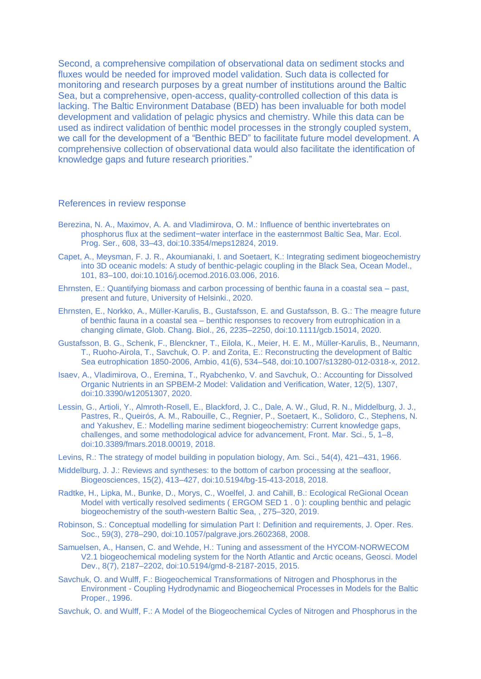Second, a comprehensive compilation of observational data on sediment stocks and fluxes would be needed for improved model validation. Such data is collected for monitoring and research purposes by a great number of institutions around the Baltic Sea, but a comprehensive, open-access, quality-controlled collection of this data is lacking. The Baltic Environment Database (BED) has been invaluable for both model development and validation of pelagic physics and chemistry. While this data can be used as indirect validation of benthic model processes in the strongly coupled system, we call for the development of a "Benthic BED" to facilitate future model development. A comprehensive collection of observational data would also facilitate the identification of knowledge gaps and future research priorities."

## References in review response

- Berezina, N. A., Maximov, A. A. and Vladimirova, O. M.: Influence of benthic invertebrates on phosphorus flux at the sediment−water interface in the easternmost Baltic Sea, Mar. Ecol. Prog. Ser., 608, 33–43, doi:10.3354/meps12824, 2019.
- Capet, A., Meysman, F. J. R., Akoumianaki, I. and Soetaert, K.: Integrating sediment biogeochemistry into 3D oceanic models: A study of benthic-pelagic coupling in the Black Sea, Ocean Model., 101, 83–100, doi:10.1016/j.ocemod.2016.03.006, 2016.
- Ehrnsten, E.: Quantifying biomass and carbon processing of benthic fauna in a coastal sea past, present and future, University of Helsinki., 2020.
- Ehrnsten, E., Norkko, A., Müller‐Karulis, B., Gustafsson, E. and Gustafsson, B. G.: The meagre future of benthic fauna in a coastal sea – benthic responses to recovery from eutrophication in a changing climate, Glob. Chang. Biol., 26, 2235–2250, doi:10.1111/gcb.15014, 2020.
- Gustafsson, B. G., Schenk, F., Blenckner, T., Eilola, K., Meier, H. E. M., Müller-Karulis, B., Neumann, T., Ruoho-Airola, T., Savchuk, O. P. and Zorita, E.: Reconstructing the development of Baltic Sea eutrophication 1850-2006, Ambio, 41(6), 534–548, doi:10.1007/s13280-012-0318-x, 2012.
- Isaev, A., Vladimirova, O., Eremina, T., Ryabchenko, V. and Savchuk, O.: Accounting for Dissolved Organic Nutrients in an SPBEM-2 Model: Validation and Verification, Water, 12(5), 1307, doi:10.3390/w12051307, 2020.
- Lessin, G., Artioli, Y., Almroth-Rosell, E., Blackford, J. C., Dale, A. W., Glud, R. N., Middelburg, J. J., Pastres, R., Queirós, A. M., Rabouille, C., Regnier, P., Soetaert, K., Solidoro, C., Stephens, N. and Yakushev, E.: Modelling marine sediment biogeochemistry: Current knowledge gaps, challenges, and some methodological advice for advancement, Front. Mar. Sci., 5, 1–8, doi:10.3389/fmars.2018.00019, 2018.
- Levins, R.: The strategy of model building in population biology, Am. Sci., 54(4), 421–431, 1966.
- Middelburg, J. J.: Reviews and syntheses: to the bottom of carbon processing at the seafloor, Biogeosciences, 15(2), 413–427, doi:10.5194/bg-15-413-2018, 2018.
- Radtke, H., Lipka, M., Bunke, D., Morys, C., Woelfel, J. and Cahill, B.: Ecological ReGional Ocean Model with vertically resolved sediments ( ERGOM SED 1 . 0 ): coupling benthic and pelagic biogeochemistry of the south-western Baltic Sea, , 275–320, 2019.
- Robinson, S.: Conceptual modelling for simulation Part I: Definition and requirements, J. Oper. Res. Soc., 59(3), 278–290, doi:10.1057/palgrave.jors.2602368, 2008.
- Samuelsen, A., Hansen, C. and Wehde, H.: Tuning and assessment of the HYCOM-NORWECOM V2.1 biogeochemical modeling system for the North Atlantic and Arctic oceans, Geosci. Model Dev., 8(7), 2187–2202, doi:10.5194/gmd-8-2187-2015, 2015.
- Savchuk, O. and Wulff, F.: Biogeochemical Transformations of Nitrogen and Phosphorus in the Environment - Coupling Hydrodynamic and Biogeochemical Processes in Models for the Baltic Proper., 1996.
- Savchuk, O. and Wulff, F.: A Model of the Biogeochemical Cycles of Nitrogen and Phosphorus in the